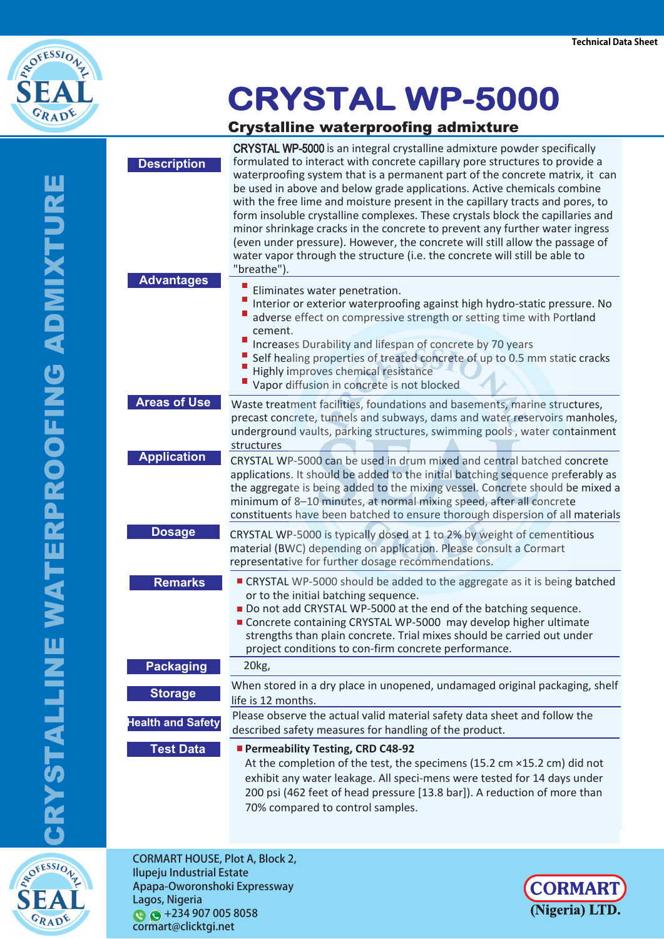

## **CRYSTAL WP-5000**

## Crystalline waterproofing admixture

**ROPESSIONZ** 

GRADE

|                          | Grystamne waterproofing admixture                                                                                                                                                                                                                                                                                                                                                                                                                                                                                                                                                                                                                                                                                                                        |
|--------------------------|----------------------------------------------------------------------------------------------------------------------------------------------------------------------------------------------------------------------------------------------------------------------------------------------------------------------------------------------------------------------------------------------------------------------------------------------------------------------------------------------------------------------------------------------------------------------------------------------------------------------------------------------------------------------------------------------------------------------------------------------------------|
| <b>Description</b>       | <b>CRYSTAL WP-5000</b> is an integral crystalline admixture powder specifically<br>formulated to interact with concrete capillary pore structures to provide a<br>waterproofing system that is a permanent part of the concrete matrix, it can<br>be used in above and below grade applications. Active chemicals combine<br>with the free lime and moisture present in the capillary tracts and pores, to<br>form insoluble crystalline complexes. These crystals block the capillaries and<br>minor shrinkage cracks in the concrete to prevent any further water ingress<br>(even under pressure). However, the concrete will still allow the passage of<br>water vapor through the structure (i.e. the concrete will still be able to<br>"breathe"). |
| <b>Advantages</b>        | Eliminates water penetration.<br>Interior or exterior waterproofing against high hydro-static pressure. No<br>adverse effect on compressive strength or setting time with Portland<br>cement.<br>Ш<br>Increases Durability and lifespan of concrete by 70 years<br>Self healing properties of treated concrete of up to 0.5 mm static cracks<br>Highly improves chemical resistance<br>Vapor diffusion in concrete is not blocked                                                                                                                                                                                                                                                                                                                        |
| <b>Areas of Use</b>      | Waste treatment facilities, foundations and basements, marine structures,<br>precast concrete, tunnels and subways, dams and water reservoirs manholes,<br>underground vaults, parking structures, swimming pools, water containment<br>structures                                                                                                                                                                                                                                                                                                                                                                                                                                                                                                       |
| <b>Application</b>       | CRYSTAL WP-5000 can be used in drum mixed and central batched concrete<br>applications. It should be added to the initial batching sequence preferably as<br>the aggregate is being added to the mixing vessel. Concrete should be mixed a<br>minimum of 8-10 minutes, at normal mixing speed, after all concrete<br>constituents have been batched to ensure thorough dispersion of all materials                                                                                                                                                                                                                                                                                                                                                       |
| <b>Dosage</b>            | CRYSTAL WP-5000 is typically dosed at 1 to 2% by weight of cementitious<br>material (BWC) depending on application. Please consult a Cormart<br>representative for further dosage recommendations.                                                                                                                                                                                                                                                                                                                                                                                                                                                                                                                                                       |
| <b>Remarks</b>           | ■ CRYSTAL WP-5000 should be added to the aggregate as it is being batched<br>or to the initial batching sequence.<br>Do not add CRYSTAL WP-5000 at the end of the batching sequence.<br>Concrete containing CRYSTAL WP-5000 may develop higher ultimate<br>strengths than plain concrete. Trial mixes should be carried out under<br>project conditions to con-firm concrete performance.                                                                                                                                                                                                                                                                                                                                                                |
| <b>Packaging</b>         | 20 <sub>kg</sub>                                                                                                                                                                                                                                                                                                                                                                                                                                                                                                                                                                                                                                                                                                                                         |
| <b>Storage</b>           | When stored in a dry place in unopened, undamaged original packaging, shelf<br>life is 12 months.                                                                                                                                                                                                                                                                                                                                                                                                                                                                                                                                                                                                                                                        |
| <b>Health and Safety</b> | Please observe the actual valid material safety data sheet and follow the<br>described safety measures for handling of the product.                                                                                                                                                                                                                                                                                                                                                                                                                                                                                                                                                                                                                      |
| <b>Test Data</b>         | Permeability Testing, CRD C48-92<br>At the completion of the test, the specimens (15.2 cm ×15.2 cm) did not<br>exhibit any water leakage. All speci-mens were tested for 14 days under<br>200 psi (462 feet of head pressure [13.8 bar]). A reduction of more than<br>70% compared to control samples.                                                                                                                                                                                                                                                                                                                                                                                                                                                   |